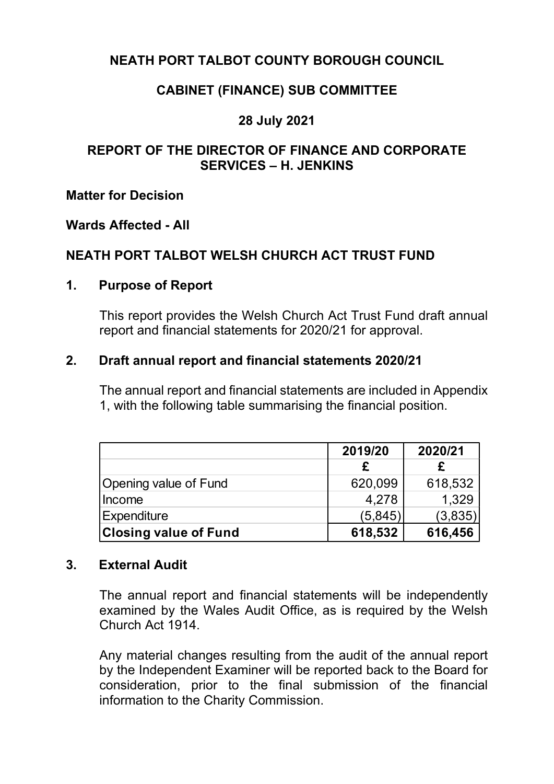## **NEATH PORT TALBOT COUNTY BOROUGH COUNCIL**

## **CABINET (FINANCE) SUB COMMITTEE**

## **28 July 2021**

#### **REPORT OF THE DIRECTOR OF FINANCE AND CORPORATE SERVICES – H. JENKINS**

#### **Matter for Decision**

#### **Wards Affected - All**

#### **NEATH PORT TALBOT WELSH CHURCH ACT TRUST FUND**

#### **1. Purpose of Report**

This report provides the Welsh Church Act Trust Fund draft annual report and financial statements for 2020/21 for approval.

#### **2. Draft annual report and financial statements 2020/21**

The annual report and financial statements are included in Appendix 1, with the following table summarising the financial position.

|                              | 2019/20  | 2020/21 |
|------------------------------|----------|---------|
|                              |          |         |
| Opening value of Fund        | 620,099  | 618,532 |
| Income                       | 4,278    | 1.329   |
| Expenditure                  | (5, 845) | (3,835) |
| <b>Closing value of Fund</b> | 618,532  | 616,456 |

#### **3. External Audit**

The annual report and financial statements will be independently examined by the Wales Audit Office, as is required by the Welsh Church Act 1914.

Any material changes resulting from the audit of the annual report by the Independent Examiner will be reported back to the Board for consideration, prior to the final submission of the financial information to the Charity Commission.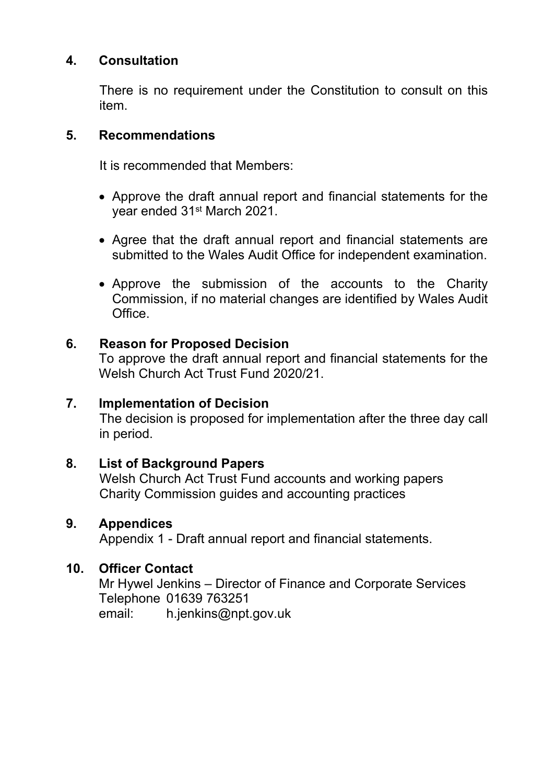## **4. Consultation**

There is no requirement under the Constitution to consult on this item.

#### **5. Recommendations**

It is recommended that Members:

- Approve the draft annual report and financial statements for the year ended 31st March 2021.
- Agree that the draft annual report and financial statements are submitted to the Wales Audit Office for independent examination.
- Approve the submission of the accounts to the Charity Commission, if no material changes are identified by Wales Audit Office.

#### **6. Reason for Proposed Decision**

To approve the draft annual report and financial statements for the Welsh Church Act Trust Fund 2020/21.

## **7. Implementation of Decision**

The decision is proposed for implementation after the three day call in period.

#### **8. List of Background Papers**

Welsh Church Act Trust Fund accounts and working papers Charity Commission guides and accounting practices

#### **9. Appendices**

Appendix 1 - Draft annual report and financial statements.

## **10. Officer Contact**

Mr Hywel Jenkins – Director of Finance and Corporate Services Telephone 01639 763251 email: [h.jenkins@npt.gov.uk](mailto:h.jenkins@npt.gov.uk)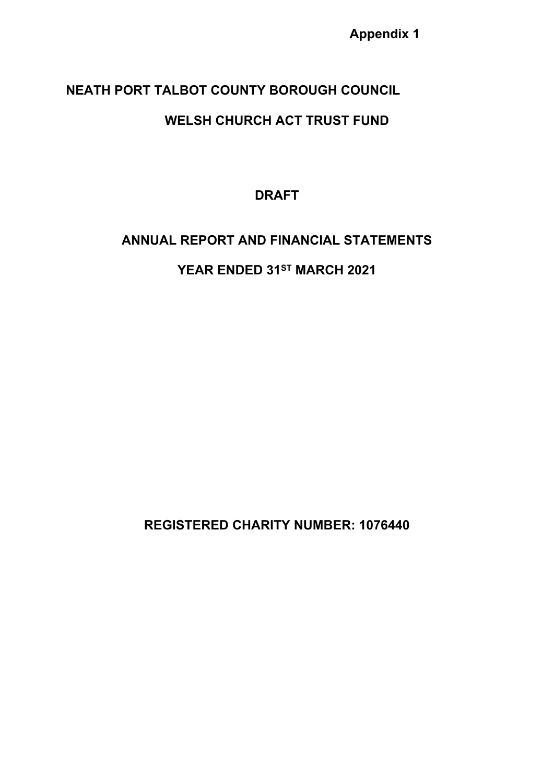## **NEATH PORT TALBOT COUNTY BOROUGH COUNCIL**

# **WELSH CHURCH ACT TRUST FUND**

**DRAFT**

# **ANNUAL REPORT AND FINANCIAL STATEMENTS**

**YEAR ENDED 31ST MARCH 2021**

**REGISTERED CHARITY NUMBER: 1076440**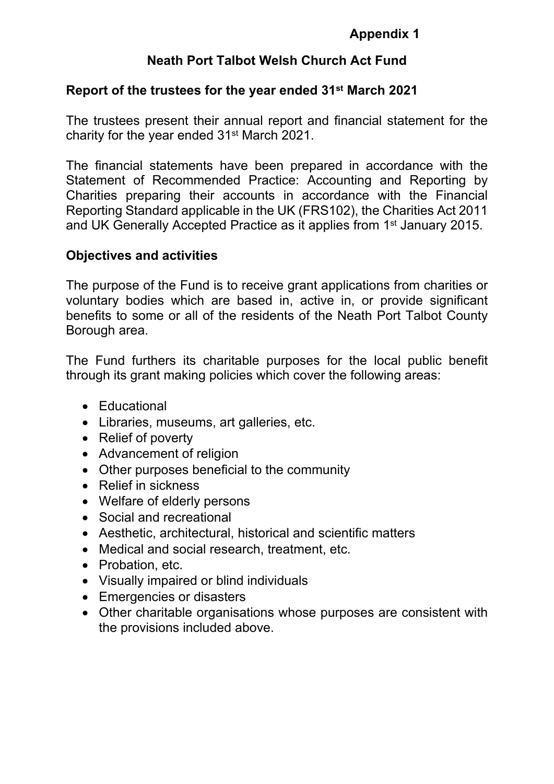## **Neath Port Talbot Welsh Church Act Fund**

#### **Report of the trustees for the year ended 31st March 2021**

The trustees present their annual report and financial statement for the charity for the year ended 31st March 2021.

The financial statements have been prepared in accordance with the Statement of Recommended Practice: Accounting and Reporting by Charities preparing their accounts in accordance with the Financial Reporting Standard applicable in the UK (FRS102), the Charities Act 2011 and UK Generally Accepted Practice as it applies from 1<sup>st</sup> January 2015.

#### **Objectives and activities**

The purpose of the Fund is to receive grant applications from charities or voluntary bodies which are based in, active in, or provide significant benefits to some or all of the residents of the Neath Port Talbot County Borough area.

The Fund furthers its charitable purposes for the local public benefit through its grant making policies which cover the following areas:

- Educational
- Libraries, museums, art galleries, etc.
- Relief of poverty
- Advancement of religion
- Other purposes beneficial to the community
- Relief in sickness
- Welfare of elderly persons
- Social and recreational
- Aesthetic, architectural, historical and scientific matters
- Medical and social research, treatment, etc.
- Probation, etc.
- Visually impaired or blind individuals
- Emergencies or disasters
- Other charitable organisations whose purposes are consistent with the provisions included above.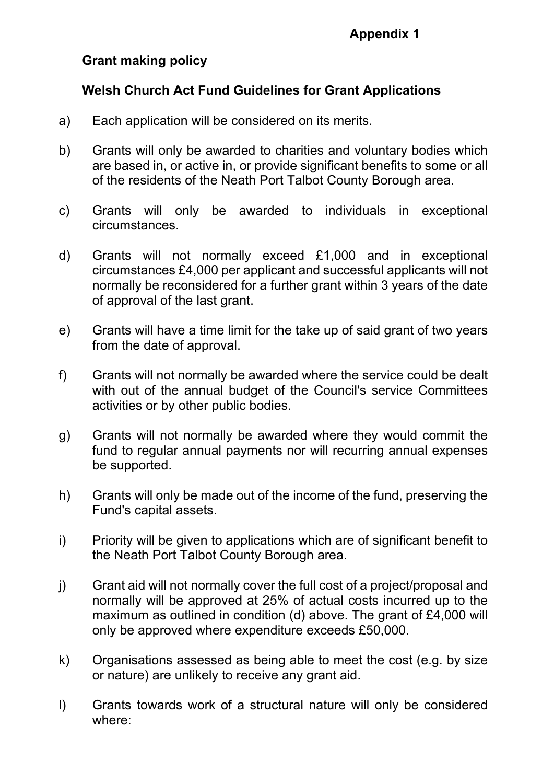## **Grant making policy**

## **Welsh Church Act Fund Guidelines for Grant Applications**

- a) Each application will be considered on its merits.
- b) Grants will only be awarded to charities and voluntary bodies which are based in, or active in, or provide significant benefits to some or all of the residents of the Neath Port Talbot County Borough area.
- c) Grants will only be awarded to individuals in exceptional circumstances.
- d) Grants will not normally exceed £1,000 and in exceptional circumstances £4,000 per applicant and successful applicants will not normally be reconsidered for a further grant within 3 years of the date of approval of the last grant.
- e) Grants will have a time limit for the take up of said grant of two years from the date of approval.
- f) Grants will not normally be awarded where the service could be dealt with out of the annual budget of the Council's service Committees activities or by other public bodies.
- g) Grants will not normally be awarded where they would commit the fund to regular annual payments nor will recurring annual expenses be supported.
- h) Grants will only be made out of the income of the fund, preserving the Fund's capital assets.
- i) Priority will be given to applications which are of significant benefit to the Neath Port Talbot County Borough area.
- j) Grant aid will not normally cover the full cost of a project/proposal and normally will be approved at 25% of actual costs incurred up to the maximum as outlined in condition (d) above. The grant of £4,000 will only be approved where expenditure exceeds £50,000.
- k) Organisations assessed as being able to meet the cost (e.g. by size or nature) are unlikely to receive any grant aid.
- l) Grants towards work of a structural nature will only be considered where: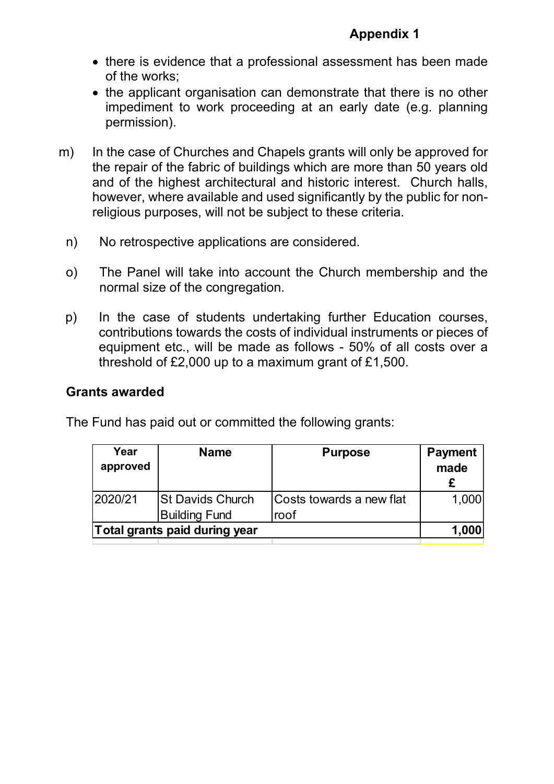- there is evidence that a professional assessment has been made of the works;
- the applicant organisation can demonstrate that there is no other impediment to work proceeding at an early date (e.g. planning permission).
- m) In the case of Churches and Chapels grants will only be approved for the repair of the fabric of buildings which are more than 50 years old and of the highest architectural and historic interest. Church halls, however, where available and used significantly by the public for nonreligious purposes, will not be subject to these criteria.
	- n) No retrospective applications are considered.
	- o) The Panel will take into account the Church membership and the normal size of the congregation.
	- p) In the case of students undertaking further Education courses, contributions towards the costs of individual instruments or pieces of equipment etc., will be made as follows - 50% of all costs over a threshold of £2,000 up to a maximum grant of £1,500.

#### **Grants awarded**

The Fund has paid out or committed the following grants:

| Year<br>approved | <b>Name</b>                                     | <b>Purpose</b>                   | <b>Payment</b><br>made |
|------------------|-------------------------------------------------|----------------------------------|------------------------|
| 2020/21          | <b>St Davids Church</b><br><b>Building Fund</b> | Costs towards a new flat<br>roof | 1,000                  |
|                  | Total grants paid during year                   |                                  | 1,000                  |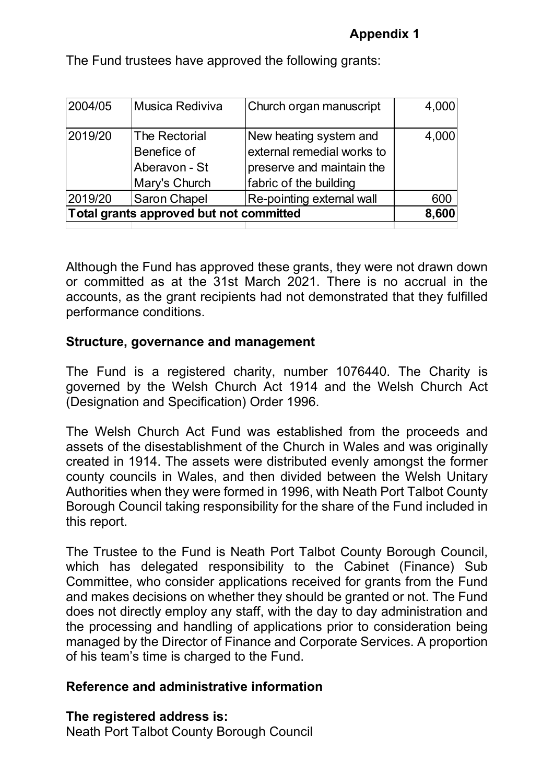| Musica Rediviva                                                       | Church organ manuscript                                                                                     | 4,000 |
|-----------------------------------------------------------------------|-------------------------------------------------------------------------------------------------------------|-------|
| <b>The Rectorial</b><br>Benefice of<br>Aberavon - St<br>Mary's Church | New heating system and<br>external remedial works to<br>preserve and maintain the<br>fabric of the building | 4,000 |
| <b>Saron Chapel</b>                                                   | Re-pointing external wall                                                                                   | 600   |
| Total grants approved but not committed                               |                                                                                                             | 8,600 |
|                                                                       |                                                                                                             |       |

The Fund trustees have approved the following grants:

Although the Fund has approved these grants, they were not drawn down or committed as at the 31st March 2021. There is no accrual in the accounts, as the grant recipients had not demonstrated that they fulfilled performance conditions.

#### **Structure, governance and management**

The Fund is a registered charity, number 1076440. The Charity is governed by the Welsh Church Act 1914 and the Welsh Church Act (Designation and Specification) Order 1996.

The Welsh Church Act Fund was established from the proceeds and assets of the disestablishment of the Church in Wales and was originally created in 1914. The assets were distributed evenly amongst the former county councils in Wales, and then divided between the Welsh Unitary Authorities when they were formed in 1996, with Neath Port Talbot County Borough Council taking responsibility for the share of the Fund included in this report.

The Trustee to the Fund is Neath Port Talbot County Borough Council, which has delegated responsibility to the Cabinet (Finance) Sub Committee, who consider applications received for grants from the Fund and makes decisions on whether they should be granted or not. The Fund does not directly employ any staff, with the day to day administration and the processing and handling of applications prior to consideration being managed by the Director of Finance and Corporate Services. A proportion of his team's time is charged to the Fund.

#### **Reference and administrative information**

**The registered address is:**

Neath Port Talbot County Borough Council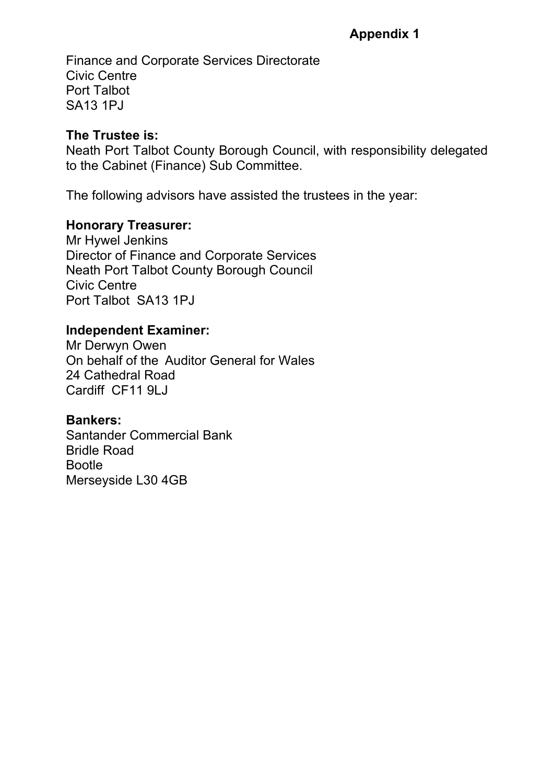Finance and Corporate Services Directorate Civic Centre Port Talbot SA13 1PJ

## **The Trustee is:**

Neath Port Talbot County Borough Council, with responsibility delegated to the Cabinet (Finance) Sub Committee.

The following advisors have assisted the trustees in the year:

## **Honorary Treasurer:**

Mr Hywel Jenkins Director of Finance and Corporate Services Neath Port Talbot County Borough Council Civic Centre Port Talbot SA13 1PJ

## **Independent Examiner:**

Mr Derwyn Owen On behalf of the Auditor General for Wales 24 Cathedral Road Cardiff CF11 9LJ

#### **Bankers:**

Santander Commercial Bank Bridle Road Bootle Merseyside L30 4GB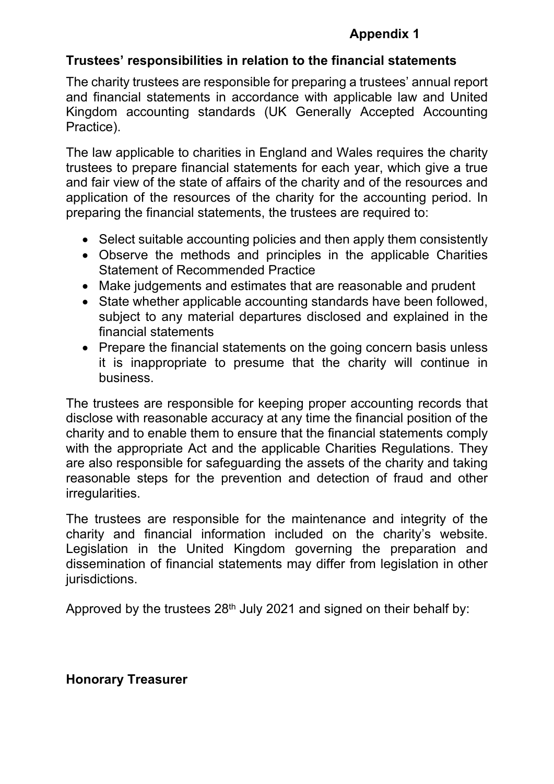#### **Trustees' responsibilities in relation to the financial statements**

The charity trustees are responsible for preparing a trustees' annual report and financial statements in accordance with applicable law and United Kingdom accounting standards (UK Generally Accepted Accounting Practice).

The law applicable to charities in England and Wales requires the charity trustees to prepare financial statements for each year, which give a true and fair view of the state of affairs of the charity and of the resources and application of the resources of the charity for the accounting period. In preparing the financial statements, the trustees are required to:

- Select suitable accounting policies and then apply them consistently
- Observe the methods and principles in the applicable Charities Statement of Recommended Practice
- Make judgements and estimates that are reasonable and prudent
- State whether applicable accounting standards have been followed, subject to any material departures disclosed and explained in the financial statements
- Prepare the financial statements on the going concern basis unless it is inappropriate to presume that the charity will continue in business.

The trustees are responsible for keeping proper accounting records that disclose with reasonable accuracy at any time the financial position of the charity and to enable them to ensure that the financial statements comply with the appropriate Act and the applicable Charities Regulations. They are also responsible for safeguarding the assets of the charity and taking reasonable steps for the prevention and detection of fraud and other irregularities.

The trustees are responsible for the maintenance and integrity of the charity and financial information included on the charity's website. Legislation in the United Kingdom governing the preparation and dissemination of financial statements may differ from legislation in other jurisdictions.

Approved by the trustees 28<sup>th</sup> July 2021 and signed on their behalf by:

#### **Honorary Treasurer**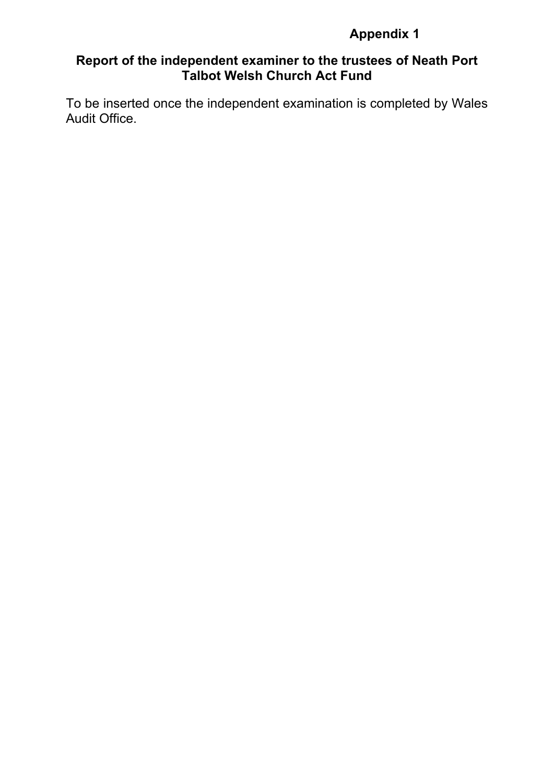## **Report of the independent examiner to the trustees of Neath Port Talbot Welsh Church Act Fund**

To be inserted once the independent examination is completed by Wales Audit Office.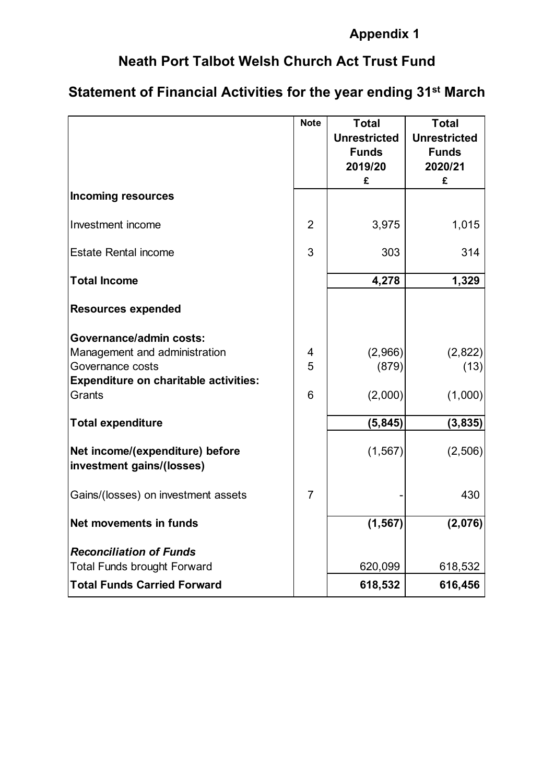# **Neath Port Talbot Welsh Church Act Trust Fund**

# **Statement of Financial Activities for the year ending 31st March**

|                                                              | <b>Note</b>    | <b>Total</b>        | <b>Total</b>        |
|--------------------------------------------------------------|----------------|---------------------|---------------------|
|                                                              |                | <b>Unrestricted</b> | <b>Unrestricted</b> |
|                                                              |                | <b>Funds</b>        | <b>Funds</b>        |
|                                                              |                | 2019/20             | 2020/21             |
|                                                              |                | £                   | £                   |
| <b>Incoming resources</b>                                    |                |                     |                     |
| Investment income                                            | $\overline{2}$ | 3,975               | 1,015               |
| <b>Estate Rental income</b>                                  | 3              | 303                 | 314                 |
| <b>Total Income</b>                                          |                | 4,278               | 1,329               |
| <b>Resources expended</b>                                    |                |                     |                     |
| Governance/admin costs:                                      |                |                     |                     |
| Management and administration                                | 4              | (2,966)             | (2,822)             |
| Governance costs                                             | 5              | (879)               | (13)                |
| <b>Expenditure on charitable activities:</b>                 |                |                     |                     |
| Grants                                                       | 6              | (2,000)             | (1,000)             |
| <b>Total expenditure</b>                                     |                | (5, 845)            | (3,835)             |
| Net income/(expenditure) before<br>investment gains/(losses) |                | (1, 567)            | (2,506)             |
| Gains/(losses) on investment assets                          | $\overline{7}$ |                     | 430                 |
| Net movements in funds                                       |                | (1, 567)            | (2,076)             |
| <b>Reconciliation of Funds</b>                               |                |                     |                     |
| <b>Total Funds brought Forward</b>                           |                | 620,099             | 618,532             |
| <b>Total Funds Carried Forward</b>                           |                | 618,532             | 616,456             |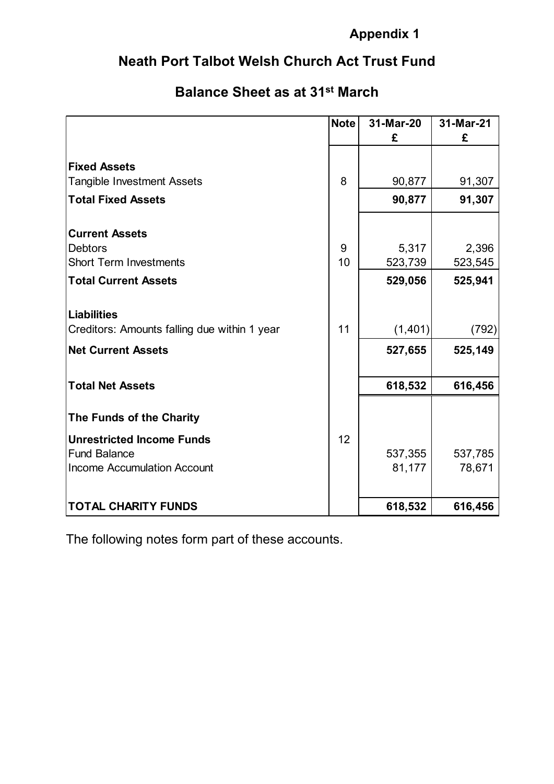# **Neath Port Talbot Welsh Church Act Trust Fund**

# **Balance Sheet as at 31st March**

|                                              | <b>Note</b> | 31-Mar-20 | 31-Mar-21 |
|----------------------------------------------|-------------|-----------|-----------|
|                                              |             | £         | £         |
| <b>Fixed Assets</b>                          |             |           |           |
| <b>Tangible Investment Assets</b>            | 8           | 90,877    | 91,307    |
| <b>Total Fixed Assets</b>                    |             | 90,877    | 91,307    |
| <b>Current Assets</b>                        |             |           |           |
| <b>Debtors</b>                               | 9           | 5,317     | 2,396     |
| <b>Short Term Investments</b>                | 10          | 523,739   | 523,545   |
| <b>Total Current Assets</b>                  |             | 529,056   | 525,941   |
|                                              |             |           |           |
| <b>Liabilities</b>                           |             |           |           |
| Creditors: Amounts falling due within 1 year | 11          | (1,401)   | (792)     |
| <b>Net Current Assets</b>                    |             | 527,655   | 525,149   |
| <b>Total Net Assets</b>                      |             | 618,532   | 616,456   |
|                                              |             |           |           |
| The Funds of the Charity                     |             |           |           |
| <b>Unrestricted Income Funds</b>             | 12          |           |           |
| <b>Fund Balance</b>                          |             | 537,355   | 537,785   |
| <b>Income Accumulation Account</b>           |             | 81,177    | 78,671    |
| <b>TOTAL CHARITY FUNDS</b>                   |             | 618,532   | 616,456   |

The following notes form part of these accounts.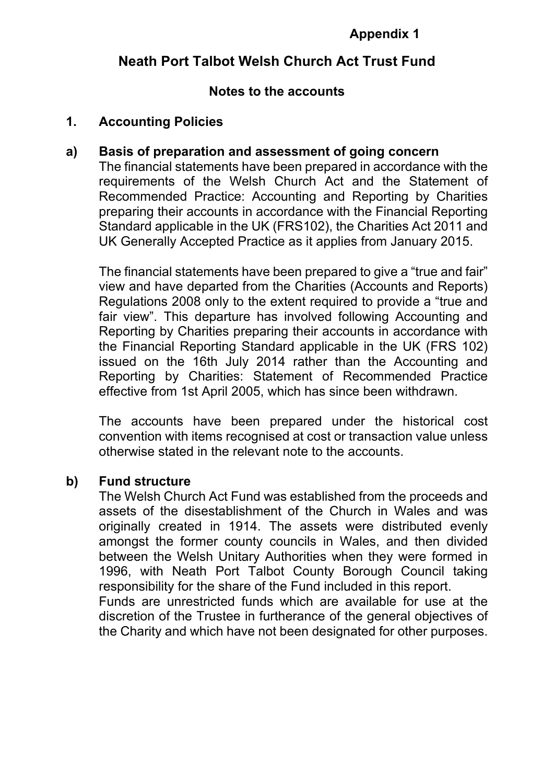## **Neath Port Talbot Welsh Church Act Trust Fund**

#### **Notes to the accounts**

#### **1. Accounting Policies**

#### **a) Basis of preparation and assessment of going concern**

The financial statements have been prepared in accordance with the requirements of the Welsh Church Act and the Statement of Recommended Practice: Accounting and Reporting by Charities preparing their accounts in accordance with the Financial Reporting Standard applicable in the UK (FRS102), the Charities Act 2011 and UK Generally Accepted Practice as it applies from January 2015.

The financial statements have been prepared to give a "true and fair" view and have departed from the Charities (Accounts and Reports) Regulations 2008 only to the extent required to provide a "true and fair view". This departure has involved following Accounting and Reporting by Charities preparing their accounts in accordance with the Financial Reporting Standard applicable in the UK (FRS 102) issued on the 16th July 2014 rather than the Accounting and Reporting by Charities: Statement of Recommended Practice effective from 1st April 2005, which has since been withdrawn.

The accounts have been prepared under the historical cost convention with items recognised at cost or transaction value unless otherwise stated in the relevant note to the accounts.

#### **b) Fund structure**

The Welsh Church Act Fund was established from the proceeds and assets of the disestablishment of the Church in Wales and was originally created in 1914. The assets were distributed evenly amongst the former county councils in Wales, and then divided between the Welsh Unitary Authorities when they were formed in 1996, with Neath Port Talbot County Borough Council taking responsibility for the share of the Fund included in this report. Funds are unrestricted funds which are available for use at the discretion of the Trustee in furtherance of the general objectives of the Charity and which have not been designated for other purposes.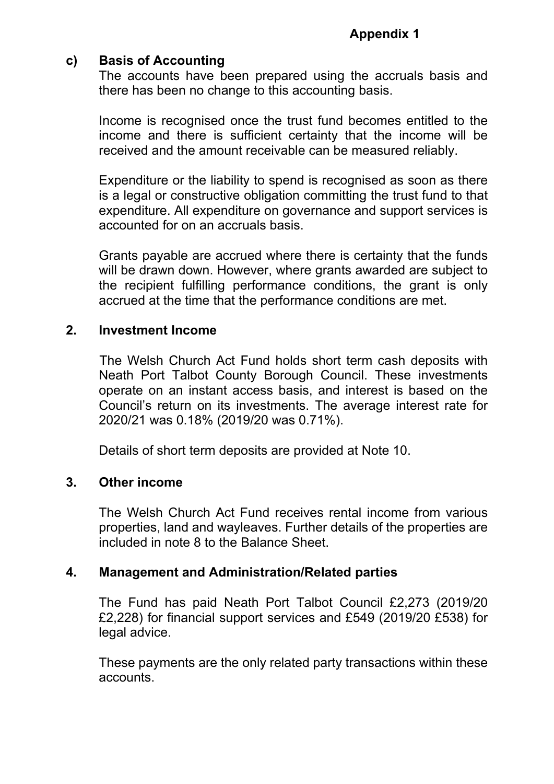## **c) Basis of Accounting**

The accounts have been prepared using the accruals basis and there has been no change to this accounting basis.

Income is recognised once the trust fund becomes entitled to the income and there is sufficient certainty that the income will be received and the amount receivable can be measured reliably.

Expenditure or the liability to spend is recognised as soon as there is a legal or constructive obligation committing the trust fund to that expenditure. All expenditure on governance and support services is accounted for on an accruals basis.

Grants payable are accrued where there is certainty that the funds will be drawn down. However, where grants awarded are subject to the recipient fulfilling performance conditions, the grant is only accrued at the time that the performance conditions are met.

#### **2. Investment Income**

The Welsh Church Act Fund holds short term cash deposits with Neath Port Talbot County Borough Council. These investments operate on an instant access basis, and interest is based on the Council's return on its investments. The average interest rate for 2020/21 was 0.18% (2019/20 was 0.71%).

Details of short term deposits are provided at Note 10.

#### **3. Other income**

The Welsh Church Act Fund receives rental income from various properties, land and wayleaves. Further details of the properties are included in note 8 to the Balance Sheet.

#### **4. Management and Administration/Related parties**

The Fund has paid Neath Port Talbot Council £2,273 (2019/20 £2,228) for financial support services and £549 (2019/20 £538) for legal advice.

These payments are the only related party transactions within these accounts.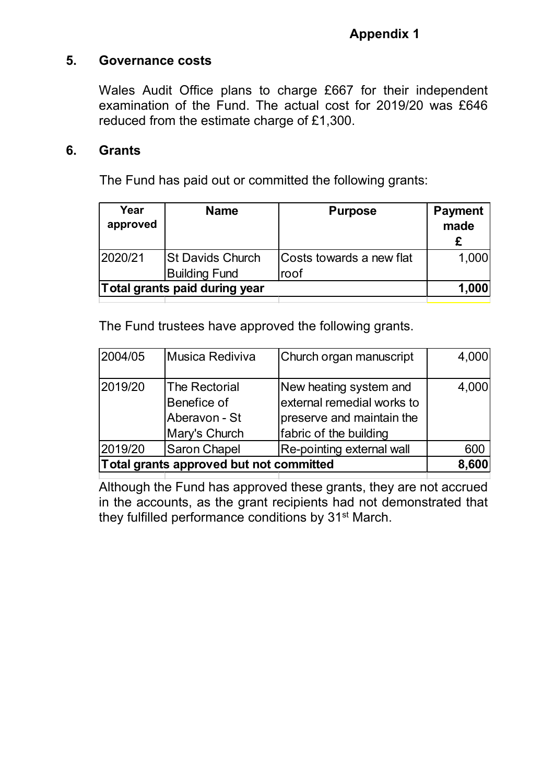## **5. Governance costs**

Wales Audit Office plans to charge £667 for their independent examination of the Fund. The actual cost for 2019/20 was £646 reduced from the estimate charge of £1,300.

#### **6. Grants**

The Fund has paid out or committed the following grants:

| Year<br>approved | <b>Name</b>                   | <b>Purpose</b>           | <b>Payment</b><br>made |
|------------------|-------------------------------|--------------------------|------------------------|
| 2020/21          | <b>St Davids Church</b>       | Costs towards a new flat | 1,000                  |
|                  | <b>Building Fund</b>          | roof                     |                        |
|                  | Total grants paid during year |                          | 1,000                  |

The Fund trustees have approved the following grants.

| 2004/05                                 | Musica Rediviva                                                | Church organ manuscript                                                                                     | 4,000 |
|-----------------------------------------|----------------------------------------------------------------|-------------------------------------------------------------------------------------------------------------|-------|
| 2019/20                                 | The Rectorial<br>Benefice of<br>Aberavon - St<br>Mary's Church | New heating system and<br>external remedial works to<br>preserve and maintain the<br>fabric of the building | 4,000 |
| 2019/20                                 | Saron Chapel                                                   | Re-pointing external wall                                                                                   | 600   |
| Total grants approved but not committed |                                                                | 8,600                                                                                                       |       |

Although the Fund has approved these grants, they are not accrued in the accounts, as the grant recipients had not demonstrated that they fulfilled performance conditions by 31st March.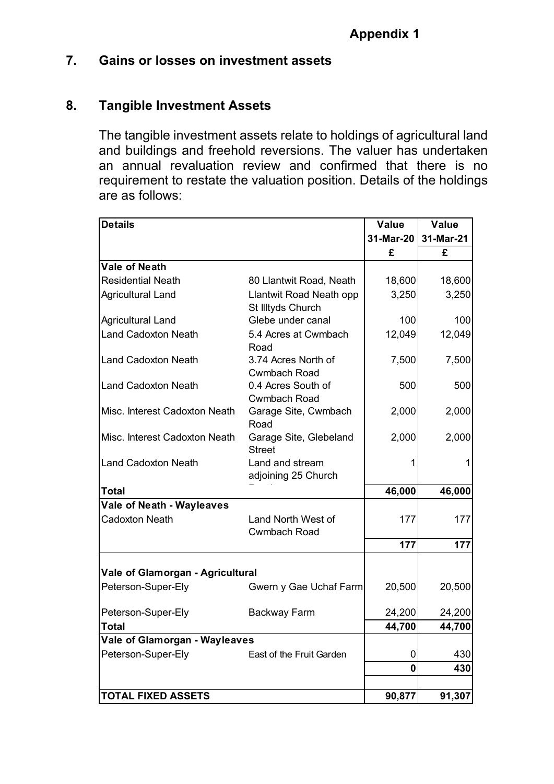## **7. Gains or losses on investment assets**

#### **8. Tangible Investment Assets**

The tangible investment assets relate to holdings of agricultural land and buildings and freehold reversions. The valuer has undertaken an annual revaluation review and confirmed that there is no requirement to restate the valuation position. Details of the holdings are as follows:

| <b>Details</b>                   |                                              | Value       | Value     |
|----------------------------------|----------------------------------------------|-------------|-----------|
|                                  |                                              | 31-Mar-20   | 31-Mar-21 |
|                                  |                                              | £           | £         |
| <b>Vale of Neath</b>             |                                              |             |           |
| <b>Residential Neath</b>         | 80 Llantwit Road, Neath                      | 18,600      | 18,600    |
| Agricultural Land                | Llantwit Road Neath opp<br>St Illtyds Church | 3,250       | 3,250     |
| <b>Agricultural Land</b>         | Glebe under canal                            | 100         | 100       |
| <b>Land Cadoxton Neath</b>       | 5.4 Acres at Cwmbach<br>Road                 | 12,049      | 12,049    |
| <b>Land Cadoxton Neath</b>       | 3.74 Acres North of<br>Cwmbach Road          | 7,500       | 7,500     |
| <b>Land Cadoxton Neath</b>       | 0.4 Acres South of<br>Cwmbach Road           | 500         | 500       |
| Misc. Interest Cadoxton Neath    | Garage Site, Cwmbach<br>Road                 | 2,000       | 2,000     |
| Misc. Interest Cadoxton Neath    | Garage Site, Glebeland<br><b>Street</b>      | 2,000       | 2,000     |
| <b>Land Cadoxton Neath</b>       | Land and stream<br>adjoining 25 Church       |             |           |
| <b>Total</b>                     |                                              | 46,000      | 46,000    |
| <b>Vale of Neath - Wayleaves</b> |                                              |             |           |
| <b>Cadoxton Neath</b>            | Land North West of<br>Cwmbach Road           | 177         | 177       |
|                                  |                                              | 177         | 177       |
| Vale of Glamorgan - Agricultural |                                              |             |           |
| Peterson-Super-Ely               | Gwern y Gae Uchaf Farm                       | 20,500      | 20,500    |
| Peterson-Super-Ely               | <b>Backway Farm</b>                          | 24,200      | 24,200    |
| <b>Total</b>                     |                                              | 44,700      | 44,700    |
| Vale of Glamorgan - Wayleaves    |                                              |             |           |
| Peterson-Super-Ely               | East of the Fruit Garden                     | 0           | 430       |
|                                  |                                              | $\mathbf 0$ | 430       |
|                                  |                                              |             |           |
| <b>TOTAL FIXED ASSETS</b>        |                                              | 90,877      | 91,307    |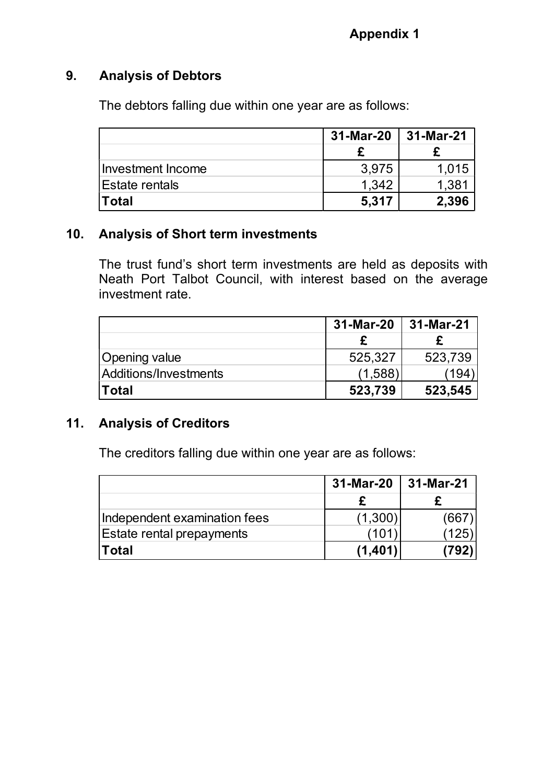## **9. Analysis of Debtors**

The debtors falling due within one year are as follows:

|                   | 31-Mar-20 | 31-Mar-21 |
|-------------------|-----------|-----------|
|                   |           |           |
| Investment Income | 3,975     | 1.015     |
| IEstate rentals   | 1.342     | 1,381     |
| ∣Total            | 5,317     | 2.396     |

## **10. Analysis of Short term investments**

The trust fund's short term investments are held as deposits with Neath Port Talbot Council, with interest based on the average investment rate.

|                       | 31-Mar-20 | 31-Mar-21 |
|-----------------------|-----------|-----------|
|                       |           |           |
| Opening value         | 525,327   | 523,739   |
| Additions/Investments | (1,588)   | 1941      |
| <b>Total</b>          | 523,739   | 523,545   |

#### **11. Analysis of Creditors**

The creditors falling due within one year are as follows:

|                                  | 31-Mar-20 | 31-Mar-21 |
|----------------------------------|-----------|-----------|
|                                  |           |           |
| Independent examination fees     | (1,300)   | (667      |
| <b>Estate rental prepayments</b> | 101)      | (125)     |
| Total                            | (1,401)   | 792)      |